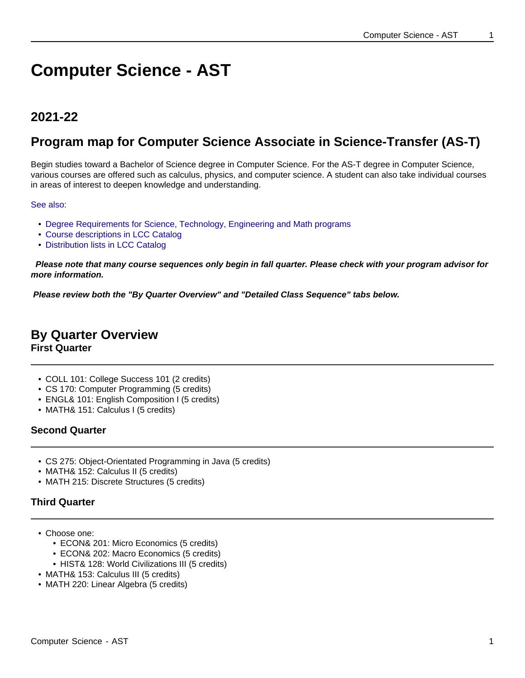# **Computer Science - AST**

## **2021-22**

## **Program map for Computer Science Associate in Science-Transfer (AS-T)**

Begin studies toward a Bachelor of Science degree in Computer Science. For the AS-T degree in Computer Science, various courses are offered such as calculus, physics, and computer science. A student can also take individual courses in areas of interest to deepen knowledge and understanding.

See also:

- Degree Requirements for Science, Technology, Engineering and Math programs
- Course descriptions in LCC Catalog
- Distribution lists in LCC Catalog

 **Please note that many course sequences only begin in fall quarter. Please check with your program advisor for more information.**

**Please review both the "By Quarter Overview" and "Detailed Class Sequence" tabs below.**

## **By Quarter Overview**

**First Quarter**

- COLL 101: College Success 101 (2 credits)
- CS 170: Computer Programming (5 credits)
- ENGL& 101: English Composition I (5 credits)
- MATH& 151: Calculus I (5 credits)

#### **Second Quarter**

- CS 275: Object-Orientated Programming in Java (5 credits)
- MATH& 152: Calculus II (5 credits)
- MATH 215: Discrete Structures (5 credits)

#### **Third Quarter**

- Choose one:
	- ECON& 201: Micro Economics (5 credits)
	- ECON& 202: Macro Economics (5 credits)
	- HIST& 128: World Civilizations III (5 credits)
- MATH& 153: Calculus III (5 credits)
- MATH 220: Linear Algebra (5 credits)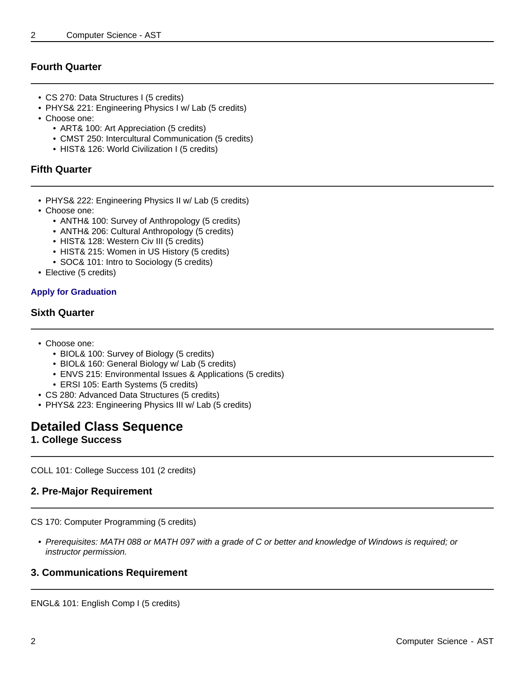#### **Fourth Quarter**

- CS 270: Data Structures I (5 credits)
- PHYS& 221: Engineering Physics I w/ Lab (5 credits)
- Choose one:
	- ART& 100: Art Appreciation (5 credits)
	- CMST 250: Intercultural Communication (5 credits)
	- HIST& 126: World Civilization I (5 credits)

#### **Fifth Quarter**

- PHYS& 222: Engineering Physics II w/ Lab (5 credits)
- Choose one:
	- ANTH& 100: Survey of Anthropology (5 credits)
	- ANTH& 206: Cultural Anthropology (5 credits)
	- HIST& 128: Western Civ III (5 credits)
	- HIST& 215: Women in US History (5 credits)
	- SOC& 101: Intro to Sociology (5 credits)
- Elective (5 credits)

#### **Apply for Graduation**

#### **Sixth Quarter**

- Choose one:
	- BIOL& 100: Survey of Biology (5 credits)
	- BIOL& 160: General Biology w/ Lab (5 credits)
	- ENVS 215: Environmental Issues & Applications (5 credits)
	- ERSI 105: Earth Systems (5 credits)
- CS 280: Advanced Data Structures (5 credits)
- PHYS& 223: Engineering Physics III w/ Lab (5 credits)

### **Detailed Class Sequence**

#### **1. College Success**

COLL 101: College Success 101 (2 credits)

#### **2. Pre-Major Requirement**

CS 170: Computer Programming (5 credits)

• Prerequisites: MATH 088 or MATH 097 with a grade of C or better and knowledge of Windows is required; or instructor permission.

#### **3. Communications Requirement**

ENGL& 101: English Comp I (5 credits)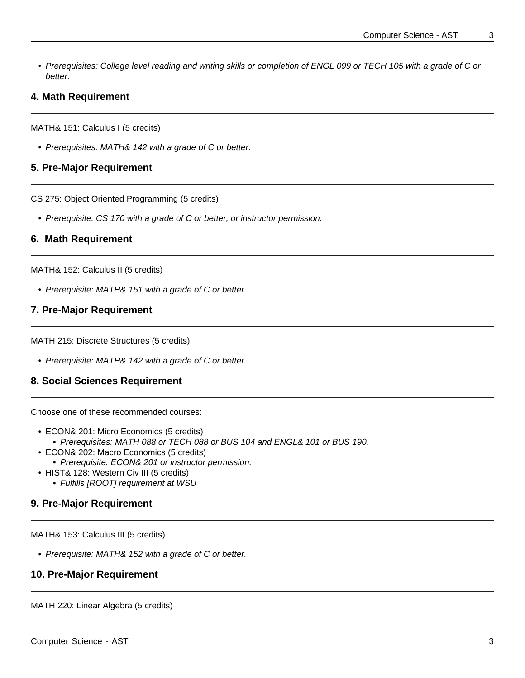• Prerequisites: College level reading and writing skills or completion of ENGL 099 or TECH 105 with a grade of C or better.

#### **4. Math Requirement**

MATH& 151: Calculus I (5 credits)

• Prerequisites: MATH& 142 with a grade of C or better.

#### **5. Pre-Major Requirement**

CS 275: Object Oriented Programming (5 credits)

• Prerequisite: CS 170 with a grade of C or better, or instructor permission.

#### **6. Math Requirement**

MATH& 152: Calculus II (5 credits)

• Prerequisite: MATH& 151 with a grade of C or better.

#### **7. Pre-Major Requirement**

MATH 215: Discrete Structures (5 credits)

• Prerequisite: MATH& 142 with a grade of C or better.

#### **8. Social Sciences Requirement**

Choose one of these recommended courses:

- ECON& 201: Micro Economics (5 credits)
	- Prerequisites: MATH 088 or TECH 088 or BUS 104 and ENGL& 101 or BUS 190.
- ECON& 202: Macro Economics (5 credits)
- Prerequisite: ECON& 201 or instructor permission.
- HIST& 128: Western Civ III (5 credits)
	- Fulfills [ROOT] requirement at WSU

#### **9. Pre-Major Requirement**

MATH& 153: Calculus III (5 credits)

• Prerequisite: MATH& 152 with a grade of C or better.

#### **10. Pre-Major Requirement**

MATH 220: Linear Algebra (5 credits)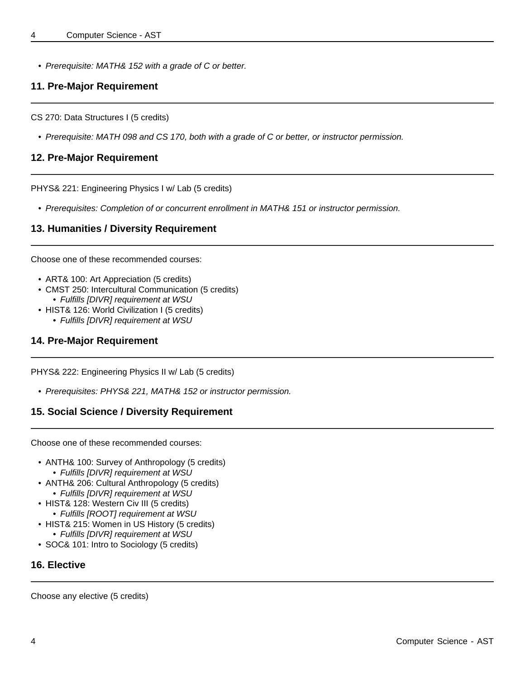• Prerequisite: MATH& 152 with a grade of C or better.

#### **11. Pre-Major Requirement**

CS 270: Data Structures I (5 credits)

• Prerequisite: MATH 098 and CS 170, both with a grade of C or better, or instructor permission.

#### **12. Pre-Major Requirement**

PHYS& 221: Engineering Physics I w/ Lab (5 credits)

• Prerequisites: Completion of or concurrent enrollment in MATH& 151 or instructor permission.

#### **13. Humanities / Diversity Requirement**

Choose one of these recommended courses:

- ART& 100: Art Appreciation (5 credits)
- CMST 250: Intercultural Communication (5 credits) • Fulfills [DIVR] requirement at WSU
- HIST& 126: World Civilization I (5 credits) • Fulfills [DIVR] requirement at WSU

#### **14. Pre-Major Requirement**

PHYS& 222: Engineering Physics II w/ Lab (5 credits)

• Prerequisites: PHYS& 221, MATH& 152 or instructor permission.

#### **15. Social Science / Diversity Requirement**

Choose one of these recommended courses:

- ANTH& 100: Survey of Anthropology (5 credits)
	- Fulfills [DIVR] requirement at WSU
- ANTH& 206: Cultural Anthropology (5 credits) • Fulfills [DIVR] requirement at WSU
- HIST& 128: Western Civ III (5 credits)
	- Fulfills [ROOT] requirement at WSU
- HIST& 215: Women in US History (5 credits)
- Fulfills [DIVR] requirement at WSU • SOC& 101: Intro to Sociology (5 credits)
- 

#### **16. Elective**

Choose any elective (5 credits)